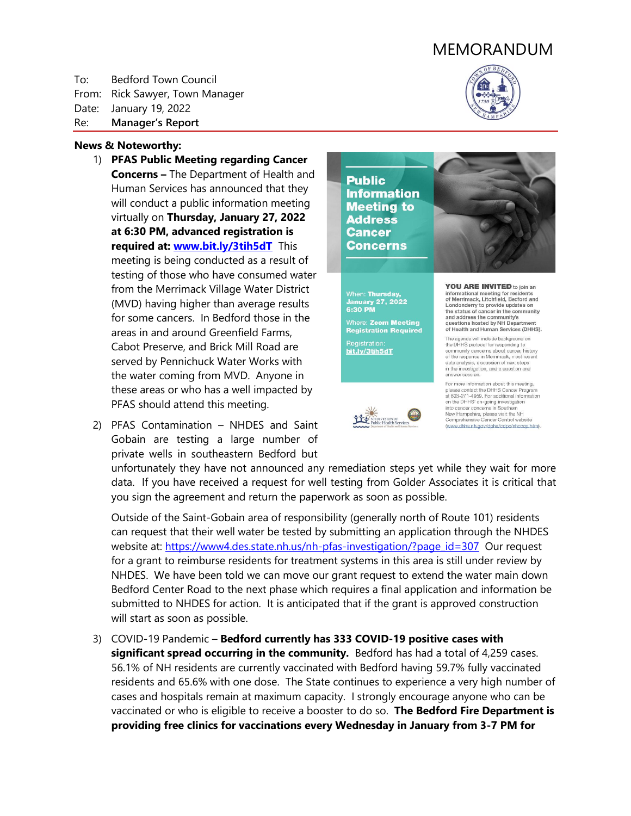# MEMORANDUM

To: Bedford Town Council From: Rick Sawyer, Town Manager Date: January 19, 2022 Re: **Manager's Report**



(www.dhhs.nh.gov/dphs/cdpc/nhcccp.htm).

#### **News & Noteworthy:**

- 1) **PFAS Public Meeting regarding Cancer Concerns –** The Department of Health and Human Services has announced that they will conduct a public information meeting virtually on **Thursday, January 27, 2022 at 6:30 PM, advanced registration is required at: [www.bit.ly/3tih5dT](http://www.bit.ly/3tih5dT)** This meeting is being conducted as a result of testing of those who have consumed water from the Merrimack Village Water District (MVD) having higher than average results for some cancers. In Bedford those in the areas in and around Greenfield Farms, Cabot Preserve, and Brick Mill Road are served by Pennichuck Water Works with the water coming from MVD. Anyone in these areas or who has a well impacted by PFAS should attend this meeting.
- 2) PFAS Contamination NHDES and Saint Gobain are testing a large number of private wells in southeastern Bedford but





unfortunately they have not announced any remediation steps yet while they wait for more data. If you have received a request for well testing from Golder Associates it is critical that you sign the agreement and return the paperwork as soon as possible.

Outside of the Saint-Gobain area of responsibility (generally north of Route 101) residents can request that their well water be tested by submitting an application through the NHDES website at: [https://www4.des.state.nh.us/nh-pfas-investigation/?page\\_id=307](https://www4.des.state.nh.us/nh-pfas-investigation/?page_id=307) Our request for a grant to reimburse residents for treatment systems in this area is still under review by NHDES. We have been told we can move our grant request to extend the water main down Bedford Center Road to the next phase which requires a final application and information be submitted to NHDES for action. It is anticipated that if the grant is approved construction will start as soon as possible.

3) COVID-19 Pandemic – **Bedford currently has 333 COVID-19 positive cases with significant spread occurring in the community.** Bedford has had a total of 4,259 cases. 56.1% of NH residents are currently vaccinated with Bedford having 59.7% fully vaccinated residents and 65.6% with one dose. The State continues to experience a very high number of cases and hospitals remain at maximum capacity. I strongly encourage anyone who can be vaccinated or who is eligible to receive a booster to do so. **The Bedford Fire Department is providing free clinics for vaccinations every Wednesday in January from 3-7 PM for**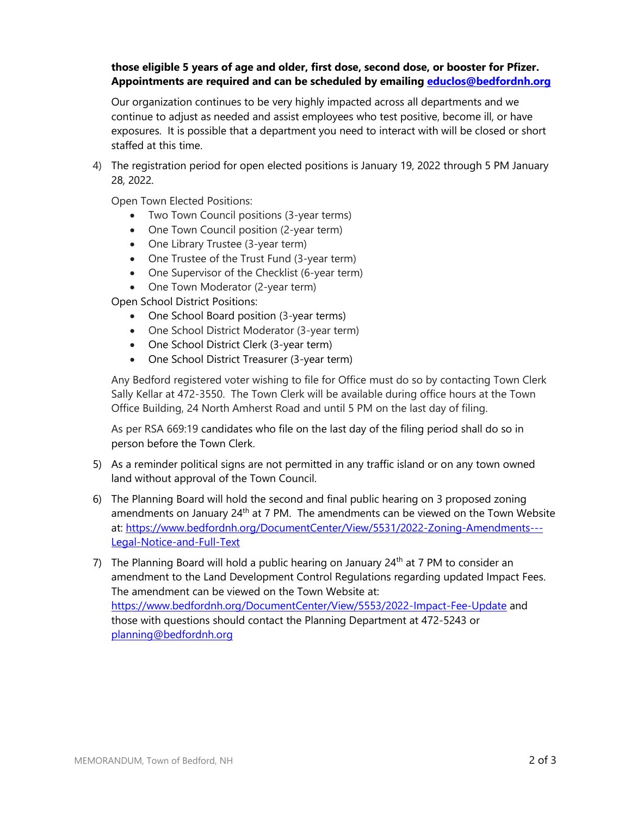## **those eligible 5 years of age and older, first dose, second dose, or booster for Pfizer. Appointments are required and can be scheduled by emailing [educlos@bedfordnh.org](mailto:educlos@bedfordnh.org)**

Our organization continues to be very highly impacted across all departments and we continue to adjust as needed and assist employees who test positive, become ill, or have exposures. It is possible that a department you need to interact with will be closed or short staffed at this time.

4) The registration period for open elected positions is January 19, 2022 through 5 PM January 28, 2022.

Open Town Elected Positions:

- Two Town Council positions (3-year terms)
- One Town Council position (2-year term)
- One Library Trustee (3-year term)
- One Trustee of the Trust Fund (3-year term)
- One Supervisor of the Checklist (6-year term)
- One Town Moderator (2-year term)

Open School District Positions:

- One School Board position (3-year terms)
- One School District Moderator (3-year term)
- One School District Clerk (3-year term)
- One School District Treasurer (3-year term)

Any Bedford registered voter wishing to file for Office must do so by contacting Town Clerk Sally Kellar at 472-3550. The Town Clerk will be available during office hours at the Town Office Building, 24 North Amherst Road and until 5 PM on the last day of filing.

As per RSA 669:19 candidates who file on the last day of the filing period shall do so in person before the Town Clerk.

- 5) As a reminder political signs are not permitted in any traffic island or on any town owned land without approval of the Town Council.
- 6) The Planning Board will hold the second and final public hearing on 3 proposed zoning amendments on January 24<sup>th</sup> at 7 PM. The amendments can be viewed on the Town Website at: [https://www.bedfordnh.org/DocumentCenter/View/5531/2022-Zoning-Amendments---](https://www.bedfordnh.org/DocumentCenter/View/5531/2022-Zoning-Amendments---Legal-Notice-and-Full-Text) [Legal-Notice-and-Full-Text](https://www.bedfordnh.org/DocumentCenter/View/5531/2022-Zoning-Amendments---Legal-Notice-and-Full-Text)
- 7) The Planning Board will hold a public hearing on January  $24<sup>th</sup>$  at 7 PM to consider an amendment to the Land Development Control Regulations regarding updated Impact Fees. The amendment can be viewed on the Town Website at: <https://www.bedfordnh.org/DocumentCenter/View/5553/2022-Impact-Fee-Update> and those with questions should contact the Planning Department at 472-5243 or [planning@bedfordnh.org](mailto:planning@bedfordnh.org)